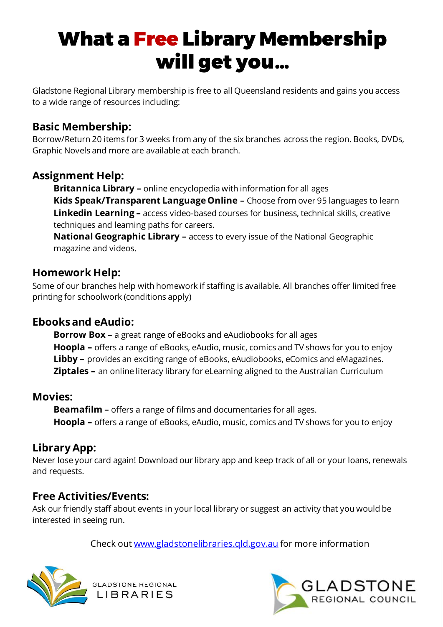# What a Free Library Membership will get you…

Gladstone Regional Library membership is free to all Queensland residents and gains you access to a wide range of resources including:

## **Basic Membership:**

Borrow/Return 20 items for 3 weeks from any of the six branches across the region. Books, DVDs, Graphic Novels and more are available at each branch.

### **Assignment Help:**

**Britannica Library –** online encyclopedia with information for all ages **Kids Speak/Transparent Language Online –** Choose from over 95 languages to learn **Linkedin Learning –** access video-based courses for business, technical skills, creative techniques and learning paths for careers.

**National Geographic Library –** access to every issue of the National Geographic magazine and videos.

### **Homework Help:**

Some of our branches help with homework if staffing is available. All branches offer limited free printing for schoolwork (conditions apply)

#### **Ebooks and eAudio:**

**Borrow Box –** a great range of eBooks and eAudiobooks for all ages **Hoopla –** offers a range of eBooks, eAudio, music, comics and TV shows for you to enjoy **Libby –** provides an exciting range of eBooks, eAudiobooks, eComics and eMagazines. **Ziptales –** an online literacy library for eLearning aligned to the Australian Curriculum

#### **Movies:**

**Beamafilm –** offers a range of films and documentaries for all ages. **Hoopla –** offers a range of eBooks, eAudio, music, comics and TV shows for you to enjoy

#### **Library App:**

Never lose your card again! Download our library app and keep track of all or your loans, renewals and requests.

#### **Free Activities/Events:**

Ask our friendly staff about events in your local library or suggest an activity that you would be interested in seeing run.

Check out [www.gladstonelibraries.qld.gov.au](http://www.gladstonelibraries.qld.gov.au/) for more information